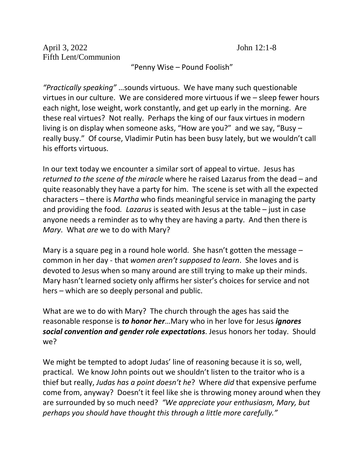"Penny Wise – Pound Foolish"

*"Practically speaking"* …sounds virtuous. We have many such questionable virtues in our culture. We are considered more virtuous if we – sleep fewer hours each night, lose weight, work constantly, and get up early in the morning. Are these real virtues? Not really. Perhaps the king of our faux virtues in modern living is on display when someone asks, "How are you?" and we say, "Busy – really busy." Of course, Vladimir Putin has been busy lately, but we wouldn't call his efforts virtuous.

In our text today we encounter a similar sort of appeal to virtue. Jesus has *returned to the scene of the miracle* where he raised Lazarus from the dead – and quite reasonably they have a party for him. The scene is set with all the expected characters – there is *Martha* who finds meaningful service in managing the party and providing the food*. Lazarus* is seated with Jesus at the table – just in case anyone needs a reminder as to why they are having a party. And then there is *Mary*. What *are* we to do with Mary?

Mary is a square peg in a round hole world. She hasn't gotten the message – common in her day - that *women aren't supposed to learn*. She loves and is devoted to Jesus when so many around are still trying to make up their minds. Mary hasn't learned society only affirms her sister's choices for service and not hers – which are so deeply personal and public.

What are we to do with Mary? The church through the ages has said the reasonable response is *to honor her*…Mary who in her love for Jesus *ignores social convention and gender role expectations*. Jesus honors her today. Should we?

We might be tempted to adopt Judas' line of reasoning because it is so, well, practical. We know John points out we shouldn't listen to the traitor who is a thief but really, *Judas has a point doesn't he*? Where *did* that expensive perfume come from, anyway? Doesn't it feel like she is throwing money around when they are surrounded by so much need? *"We appreciate your enthusiasm, Mary, but perhaps you should have thought this through a little more carefully."*